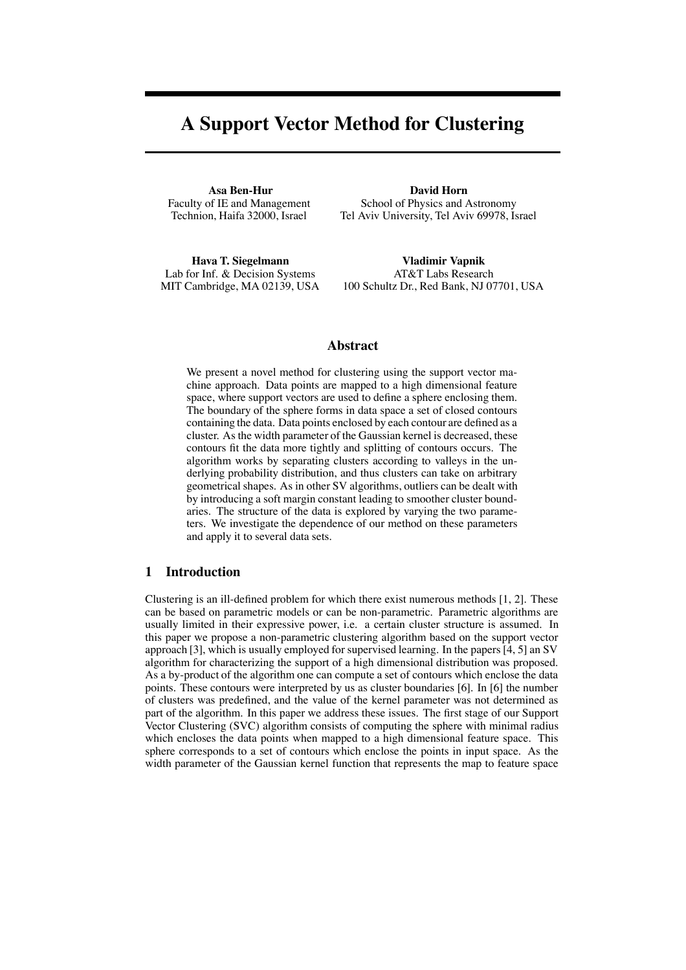# **A Support Vector Method for Clustering**

**Asa Ben-Hur** Faculty of IE and Management Technion, Haifa 32000, Israel

**David Horn** School of Physics and Astronomy Tel Aviv University, Tel Aviv 69978, Israel

**Hava T. Siegelmann** Lab for Inf. & Decision Systems MIT Cambridge, MA 02139, USA

**Vladimir Vapnik** AT&T Labs Research 100 Schultz Dr., Red Bank, NJ 07701, USA

# **Abstract**

We present a novel method for clustering using the support vector machine approach. Data points are mapped to a high dimensional feature space, where support vectors are used to define a sphere enclosing them. The boundary of the sphere forms in data space a set of closed contours containing the data. Data points enclosed by each contour are defined as a cluster. As the width parameter of the Gaussian kernel is decreased, these contours fit the data more tightly and splitting of contours occurs. The algorithm works by separating clusters according to valleys in the underlying probability distribution, and thus clusters can take on arbitrary geometrical shapes. As in other SV algorithms, outliers can be dealt with by introducing a soft margin constant leading to smoother cluster boundaries. The structure of the data is explored by varying the two parameters. We investigate the dependence of our method on these parameters and apply it to several data sets.

# **1 Introduction**

Clustering is an ill-defined problem for which there exist numerous methods [1, 2]. These can be based on parametric models or can be non-parametric. Parametric algorithms are usually limited in their expressive power, i.e. a certain cluster structure is assumed. In this paper we propose a non-parametric clustering algorithm based on the support vector approach [3], which is usually employed for supervised learning. In the papers[4, 5] an SV algorithm for characterizing the support of a high dimensional distribution was proposed. As a by-product of the algorithm one can compute a set of contours which enclose the data points. These contours were interpreted by us as cluster boundaries [6]. In [6] the number of clusters was predefined, and the value of the kernel parameter was not determined as part of the algorithm. In this paper we address these issues. The first stage of our Support Vector Clustering (SVC) algorithm consists of computing the sphere with minimal radius which encloses the data points when mapped to a high dimensional feature space. This sphere corresponds to a set of contours which enclose the points in input space. As the width parameter of the Gaussian kernel function that represents the map to feature space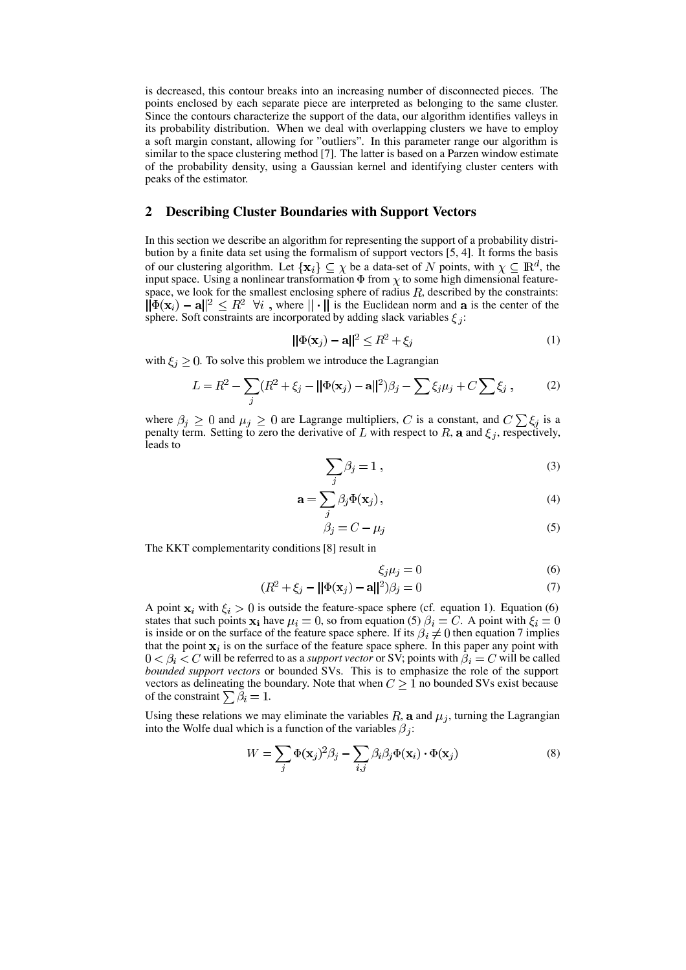is decreased, this contour breaks into an increasing number of disconnected pieces. The points enclosed by each separate piece are interpreted as belonging to the same cluster. Since the contours characterize the support of the data, our algorithm identifies valleys in its probability distribution. When we deal with overlapping clusters we have to employ a soft margin constant, allowing for "outliers". In this parameter range our algorithm is similar to the space clustering method [7]. The latter is based on a Parzen window estimate of the probability density, using a Gaussian kernel and identifying cluster centers with peaks of the estimator.

## **2 Describing Cluster Boundaries with Support Vectors**

In this section we describe an algorithm for representing the support of a probability distribution by a finite data set using the formalism of support vectors [5, 4]. It forms the basis of our clustering algorithm. Let  $\{x_i\} \subseteq \chi$  be a data-set of N points, with  $\chi \subseteq \mathbb{R}^d$ , the input space. Using a nonlinear transformation  $\Phi$  from  $\chi$  to some high dimensional featurespace, we look for the smallest enclosing sphere of radius  $R$ , described by the constraints:  $\|\Phi(\mathbf{x}_i) - \mathbf{a}\|^2 \leq R^2 \ \forall i$ , where  $\|\cdot\|$  is the Euclidean norm and a is the center of the sphere. Soft constraints are incorporated by adding slack variables  $\xi_i$ :

$$
||\Phi(\mathbf{x}_j) - \mathbf{a}||^2 \le R^2 + \xi_j \tag{1}
$$

with  $\xi_i \geq 0$ . To solve this problem we introduce the Lagrangian

$$
L = R^{2} - \sum_{j} (R^{2} + \xi_{j} - ||\Phi(\mathbf{x}_{j}) - \mathbf{a}||^{2})\beta_{j} - \sum \xi_{j}\mu_{j} + C \sum \xi_{j} , \qquad (2)
$$

where  $\beta_j \geq 0$  and  $\mu_j \geq 0$  are Lagrange multipliers, C is a constant, and  $C \sum_i \xi_j$  is a penalty term. Setting to zero the derivative of L with respect to R, a and  $\xi_j$ , respectively, leads to

$$
\sum_{j} \beta_j = 1 \,, \tag{3}
$$

$$
\mathbf{a} = \sum_{j} \beta_j \Phi(\mathbf{x}_j), \tag{4}
$$

$$
\beta_j = C - \mu_j \tag{5}
$$

The KKT complementarity conditions [8] result in

$$
\xi_j \mu_j = 0 \tag{6}
$$

$$
(R2 + \xi_j - ||\Phi(\mathbf{x}_j) - \mathbf{a}||^2)\beta_j = 0
$$
\n(7)

A point  $x_i$  with  $\xi_i > 0$  is outside the feature-space sphere (cf. equation 1). Equation (6) states that such points  $\mathbf{x_i}$  have  $\mu_i = 0$ , so from equation (5)  $\beta_i = C$ . A point with  $\xi_i = 0$ is inside or on the surface of the feature space sphere. If its  $\beta_i \neq 0$  then equation 7 implies that the point  $x_i$  is on the surface of the feature space sphere. In this paper any point with  $0 < \beta_i < C$  will be referred to as a *support vector* or SV; points with  $\beta_i = C$  will be called *bounded support vectors* or bounded SVs. This is to emphasize the role of the support vectors as delineating the boundary. Note that when  $C \geq 1$  no bounded SVs exist because of the constraint  $\sum \beta_i = 1$ .

Using these relations we may eliminate the variables  $R$ , a and  $\mu_i$ , turning the Lagrangian into the Wolfe dual which is a function of the variables  $\beta_j$ :

$$
W = \sum_{j} \Phi(\mathbf{x}_{j})^{2} \beta_{j} - \sum_{i,j} \beta_{i} \beta_{j} \Phi(\mathbf{x}_{i}) \cdot \Phi(\mathbf{x}_{j})
$$
(8)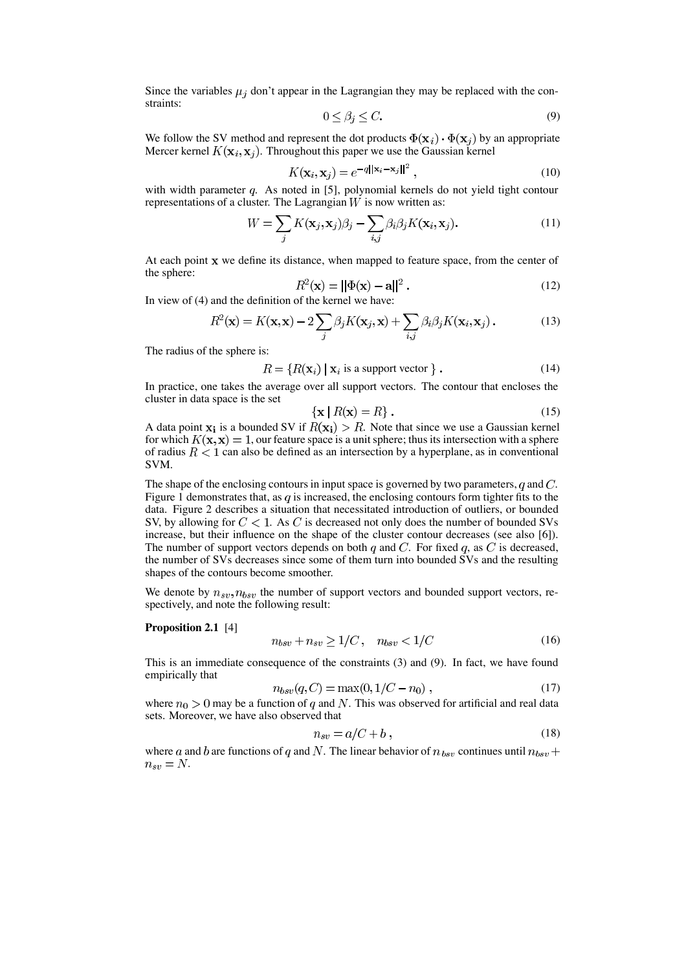Since the variables  $\mu_j$  don't appear in the Lagrangian they may be replaced with the constraints:

$$
0 \le \beta_j \le C. \tag{9}
$$

We follow the SV method and represent the dot products  $\Phi(\mathbf{x}_i) \cdot \Phi(\mathbf{x}_j)$  by an appropriate Mercer kernel  $K(\mathbf{x}_i, \mathbf{x}_j)$ . Throughout this paper we use the Gaussian kernel

$$
K(\mathbf{x}_i, \mathbf{x}_j) = e^{-q||\mathbf{x}_i - \mathbf{x}_j||^2},\tag{10}
$$

with width parameter  $q$ . As noted in [5], polynomial kernels do not yield tight contour representations of a cluster. The Lagrangian  $W$  is now written as:

$$
W = \sum_{j} K(\mathbf{x}_{j}, \mathbf{x}_{j}) \beta_{j} - \sum_{i,j} \beta_{i} \beta_{j} K(\mathbf{x}_{i}, \mathbf{x}_{j}).
$$
\n(11)

At each point  $x$  we define its distance, when mapped to feature space, from the center of the sphere:

$$
R^2(\mathbf{x}) = ||\Phi(\mathbf{x}) - \mathbf{a}||^2.
$$
 (12)

In view of (4) and the definition of the kernel we have:

$$
R^{2}(\mathbf{x}) = K(\mathbf{x}, \mathbf{x}) - 2\sum_{j} \beta_{j} K(\mathbf{x}_{j}, \mathbf{x}) + \sum_{i,j} \beta_{i} \beta_{j} K(\mathbf{x}_{i}, \mathbf{x}_{j}).
$$
 (13)

The radius of the sphere is:

$$
R = \{ R(\mathbf{x}_i) \mid \mathbf{x}_i \text{ is a support vector } \} . \tag{14}
$$

In practice, one takes the average over all support vectors. The contour that encloses the cluster in data space is the set

$$
\mathbf{x} \mid R(\mathbf{x}) = R \} \,. \tag{15}
$$

A data point  $x_i$  is a bounded SV if  $R(x_i) > R$ . Note that since we use a Gaussian kernel for which  $K(\mathbf{x}, \mathbf{x}) = 1$ , our feature space is a unit sphere; thus its intersection with a sphere of radius  $R < 1$  can also be defined as an intersection by a hyperplane, as in conventional SVM.

The shape of the enclosing contours in input space is governed by two parameters, q and  $C$ . Figure 1 demonstrates that, as  $q$  is increased, the enclosing contours form tighter fits to the data. Figure 2 describes a situation that necessitated introduction of outliers, or bounded SV, by allowing for  $C < 1$ . As C is decreased not only does the number of bounded SVs increase, but their influence on the shape of the cluster contour decreases (see also [6]). The number of support vectors depends on both  $q$  and  $C$ . For fixed  $q$ , as  $C$  is decreased, the number of SVs decreases since some of them turn into bounded SVs and the resulting shapes of the contours become smoother.

We denote by  $n_{sv}, n_{bsv}$  the number of support vectors and bounded support vectors, respectively, and note the following result:

#### **Proposition 2.1** [4]

$$
n_{bsv} + n_{sv} \ge 1/C, \quad n_{bsv} < 1/C \tag{16}
$$

This is an immediate consequence of the constraints (3) and (9). In fact, we have found empirically that

$$
n_{bsv}(q, C) = \max(0, 1/C - n_0), \qquad (17)
$$

where  $n_0 > 0$  may be a function of q and N. This was observed for artificial and real data sets. Moreover, we have also observed that

$$
n_{sv} = a/C + b \,,\tag{18}
$$

where a and b are functions of q and N. The linear behavior of  $n_{bsv}$  continues until  $n_{bsv}$  +  $n_{sv} = N$ .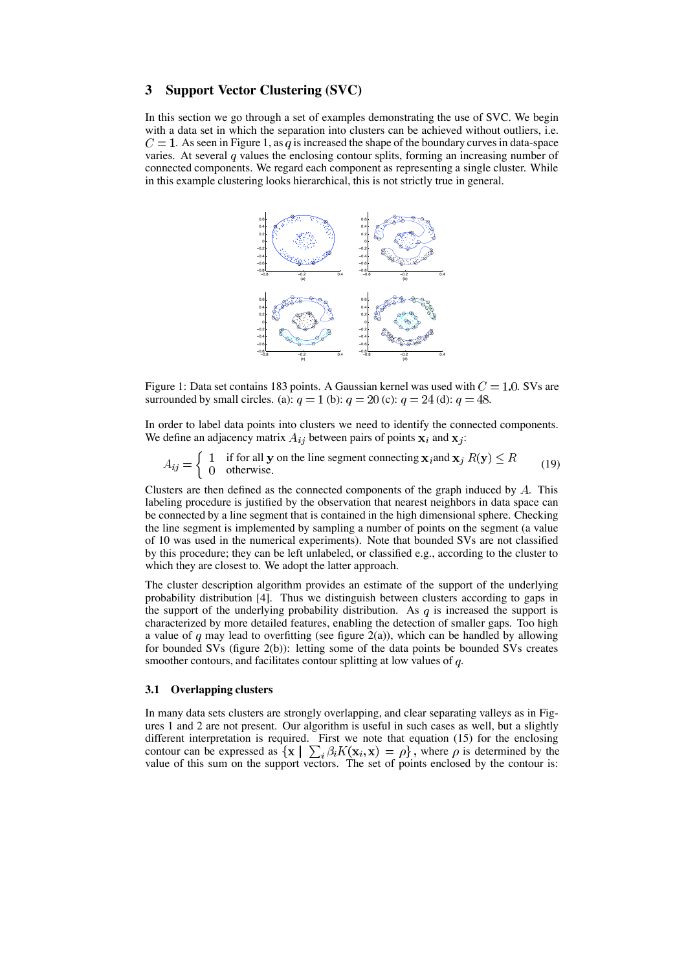## **3 Support Vector Clustering (SVC)**

In this section we go through a set of examples demonstrating the use of SVC. We begin with a data set in which the separation into clusters can be achieved without outliers, i.e.  $C = 1$ . As seen in Figure 1, as q is increased the shape of the boundary curves in data-space varies. At several  $q$  values the enclosing contour splits, forming an increasing number of connected components. We regard each component as representing a single cluster. While in this example clustering looks hierarchical, this is not strictly true in general.



Figure 1: Data set contains 183 points. A Gaussian kernel was used with  $C = 1.0$ . SVs are surrounded by small circles. (a):  $q = 1$  (b):  $q = 20$  (c):  $q = 24$  (d):  $q = 48$ .

In order to label data points into clusters we need to identify the connected components. We define an adjacency matrix  $A_{ij}$  between pairs of points  $x_i$  and  $x_j$ :

$$
A_{ij} = \begin{cases} 1 & \text{if for all } y \text{ on the line segment connecting } x_i \text{ and } x_j \ R(y) \le R \\ 0 & \text{otherwise.} \end{cases}
$$
 (19)

Clusters are then defined as the connected components of the graph induced by  $A$ . This labeling procedure is justified by the observation that nearest neighbors in data space can be connected by a line segment that is contained in the high dimensional sphere. Checking the line segment is implemented by sampling a number of points on the segment (a value of 10 was used in the numerical experiments). Note that bounded SVs are not classified by this procedure; they can be left unlabeled, or classified e.g., according to the cluster to which they are closest to. We adopt the latter approach.

The cluster description algorithm provides an estimate of the support of the underlying probability distribution [4]. Thus we distinguish between clusters according to gaps in the support of the underlying probability distribution. As  $q$  is increased the support is characterized by more detailed features, enabling the detection of smaller gaps. Too high a value of q may lead to overfitting (see figure 2(a)), which can be handled by allowing for bounded SVs (figure 2(b)): letting some of the data points be bounded SVs creates smoother contours, and facilitates contour splitting at low values of  $q$ .

#### **3.1 Overlapping clusters**

In many data sets clusters are strongly overlapping, and clear separating valleys as in Figures 1 and 2 are not present. Our algorithm is useful in such cases as well, but a slightly different interpretation is required. First we note that equation (15) for the enclosing contour can be expressed as  $\{x \mid \sum_i \beta_i K(x_i, x) = \rho\}$ , where  $\rho$  is determined by the value of this sum on the support vectors. The set of points enclosed by the contour is: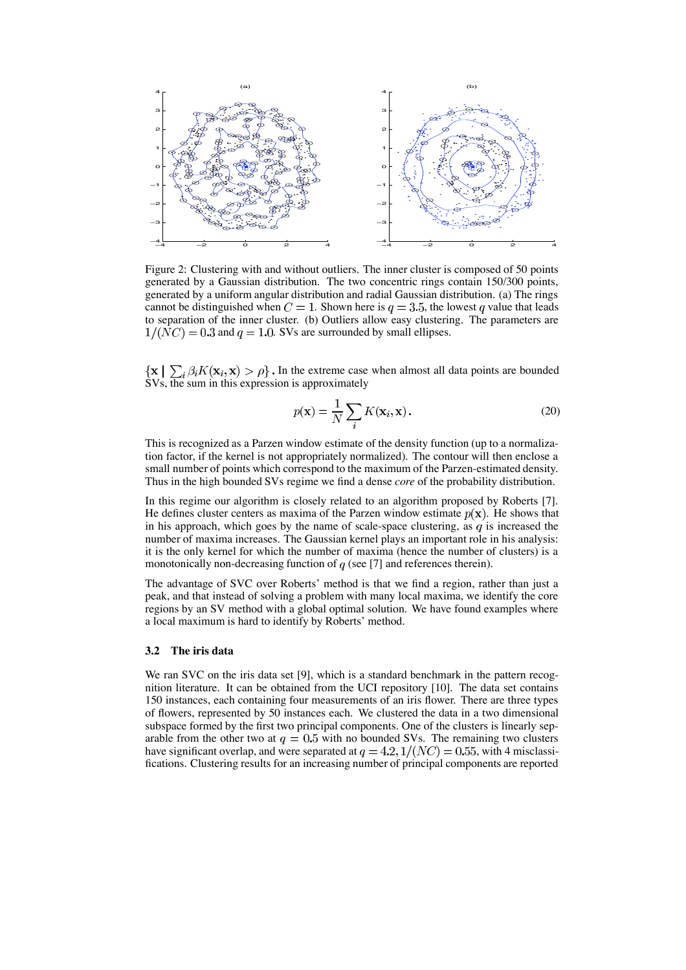

Figure 2: Clustering with and without outliers. The inner cluster is composed of 50 points generated by a Gaussian distribution. The two concentric rings contain 150/300 points, generated by a uniform angular distribution and radial Gaussian distribution. (a) The rings cannot be distinguished when  $C = 1$ . Shown here is  $q = 3.5$ , the lowest q value that leads to separation of the inner cluster. (b) Outliers allow easy clustering. The parameters are  $1/(NC) = 0.3$  and  $q = 1.0$ . SVs are surrounded by small ellipses.

In the extreme case when almost all data points are bounded SVs, the sum in this expression is approximately

$$
p(\mathbf{x}) = \frac{1}{N} \sum_{i} K(\mathbf{x}_i, \mathbf{x}).
$$
 (20)

This is recognized as a Parzen window estimate of the density function (up to a normalization factor, if the kernel is not appropriately normalized). The contour will then enclose a small number of points which correspond to the maximum of the Parzen-estimated density. Thus in the high bounded SVs regime we find a dense *core* of the probability distribution.

In this regime our algorithm is closely related to an algorithm proposed by Roberts [7]. He defines cluster centers as maxima of the Parzen window estimate  $p(x)$ . He shows that in his approach, which goes by the name of scale-space clustering, as  $q$  is increased the number of maxima increases. The Gaussian kernel plays an important role in his analysis: it is the only kernel for which the number of maxima (hence the number of clusters) is a monotonically non-decreasing function of  $q$  (see [7] and references therein).

The advantage of SVC over Roberts' method is that we find a region, rather than just a peak, and that instead of solving a problem with many local maxima, we identify the core regions by an SV method with a global optimal solution. We have found examples where a local maximum is hard to identify by Roberts' method.

### **3.2 The iris data**

We ran SVC on the iris data set [9], which is a standard benchmark in the pattern recognition literature. It can be obtained from the UCI repository [10]. The data set contains 150 instances, each containing four measurements of an iris flower. There are three types of flowers, represented by 50 instances each. We clustered the data in a two dimensional subspace formed by the first two principal components. One of the clusters is linearly separable from the other two at  $q = 0.5$  with no bounded SVs. The remaining two clusters have significant overlap, and were separated at  $q = 4.2, 1/(NC) = 0.55$ , with 4 misclassifications. Clustering results for an increasing number of principal components are reported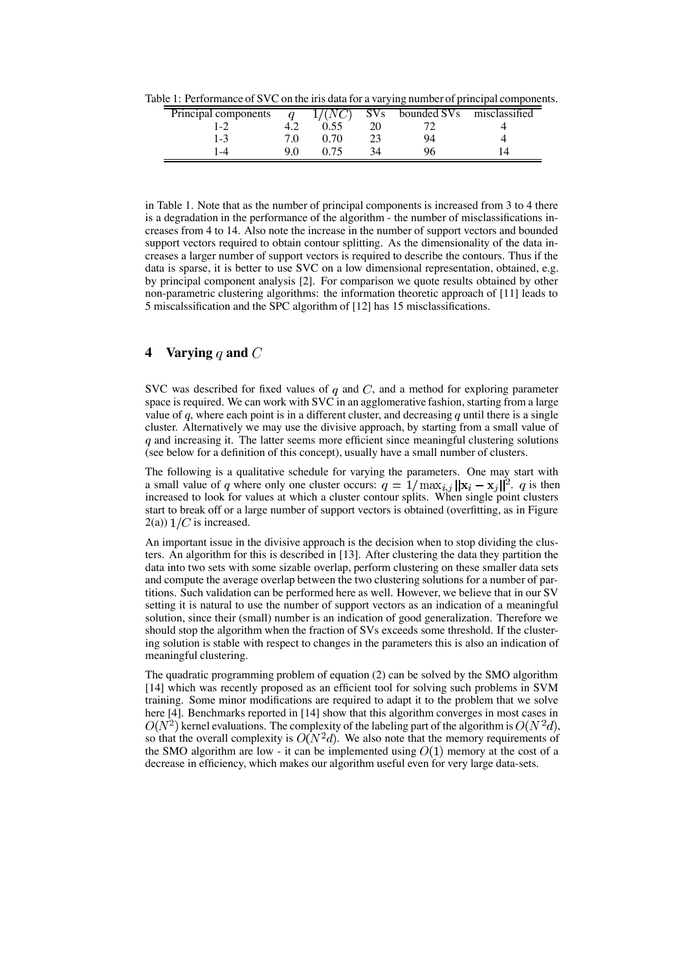Table 1: Performance of SVC on the iris data for a varying number of principal components.

| Principal components |      | SVs | bounded SVs misclassified |  |
|----------------------|------|-----|---------------------------|--|
| $1 - 2$              |      |     |                           |  |
| $1 - 3$              | ი 70 |     | 94                        |  |
| $\overline{-4}$      |      |     |                           |  |

in Table 1. Note that as the number of principal components is increased from 3 to 4 there is a degradation in the performance of the algorithm - the number of misclassifications increases from 4 to 14. Also note the increase in the number of support vectors and bounded support vectors required to obtain contour splitting. As the dimensionality of the data increases a larger number of support vectors is required to describe the contours. Thus if the data is sparse, it is better to use SVC on a low dimensional representation, obtained, e.g. by principal component analysis [2]. For comparison we quote results obtained by other non-parametric clustering algorithms: the information theoretic approach of [11] leads to 5 miscalssification and the SPC algorithm of [12] has 15 misclassifications.

# **4 Varying and**

SVC was described for fixed values of  $q$  and  $C$ , and a method for exploring parameter space is required. We can work with SVC in an agglomerative fashion, starting from a large value of  $q$ , where each point is in a different cluster, and decreasing  $q$  until there is a single cluster. Alternatively we may use the divisive approach, by starting from a small value of  $q$  and increasing it. The latter seems more efficient since meaningful clustering solutions (see below for a definition of this concept), usually have a small number of clusters.

The following is a qualitative schedule for varying the parameters. One may start with a small value of q where only one cluster occurs:  $q = 1/\max_{i,j} ||\mathbf{x}_i - \mathbf{x}_j||^2$ . q is then increased to look for values at which a cluster contour splits. When single point clusters start to break off or a large number of support vectors is obtained (overfitting, as in Figure  $2(a)$ )  $1/C$  is increased.

An important issue in the divisive approach is the decision when to stop dividing the clusters. An algorithm for this is described in [13]. After clustering the data they partition the data into two sets with some sizable overlap, perform clustering on these smaller data sets and compute the average overlap between the two clustering solutions for a number of partitions. Such validation can be performed here as well. However, we believe that in our SV setting it is natural to use the number of support vectors as an indication of a meaningful solution, since their (small) number is an indication of good generalization. Therefore we should stop the algorithm when the fraction of SVs exceeds some threshold. If the clustering solution is stable with respect to changes in the parameters this is also an indication of meaningful clustering.

The quadratic programming problem of equation (2) can be solved by the SMO algorithm [14] which was recently proposed as an efficient tool for solving such problems in SVM training. Some minor modifications are required to adapt it to the problem that we solve here [4]. Benchmarks reported in [14] show that this algorithm converges in most cases in  $O(N^2)$  kernel evaluations. The complexity of the labeling part of the algorithm is  $O(N^2d)$ , so that the overall complexity is  $O(N^2d)$ . We also note that the memory requirements of the SMO algorithm are low - it can be implemented using  $O(1)$  memory at the cost of a decrease in efficiency, which makes our algorithm useful even for very large data-sets.